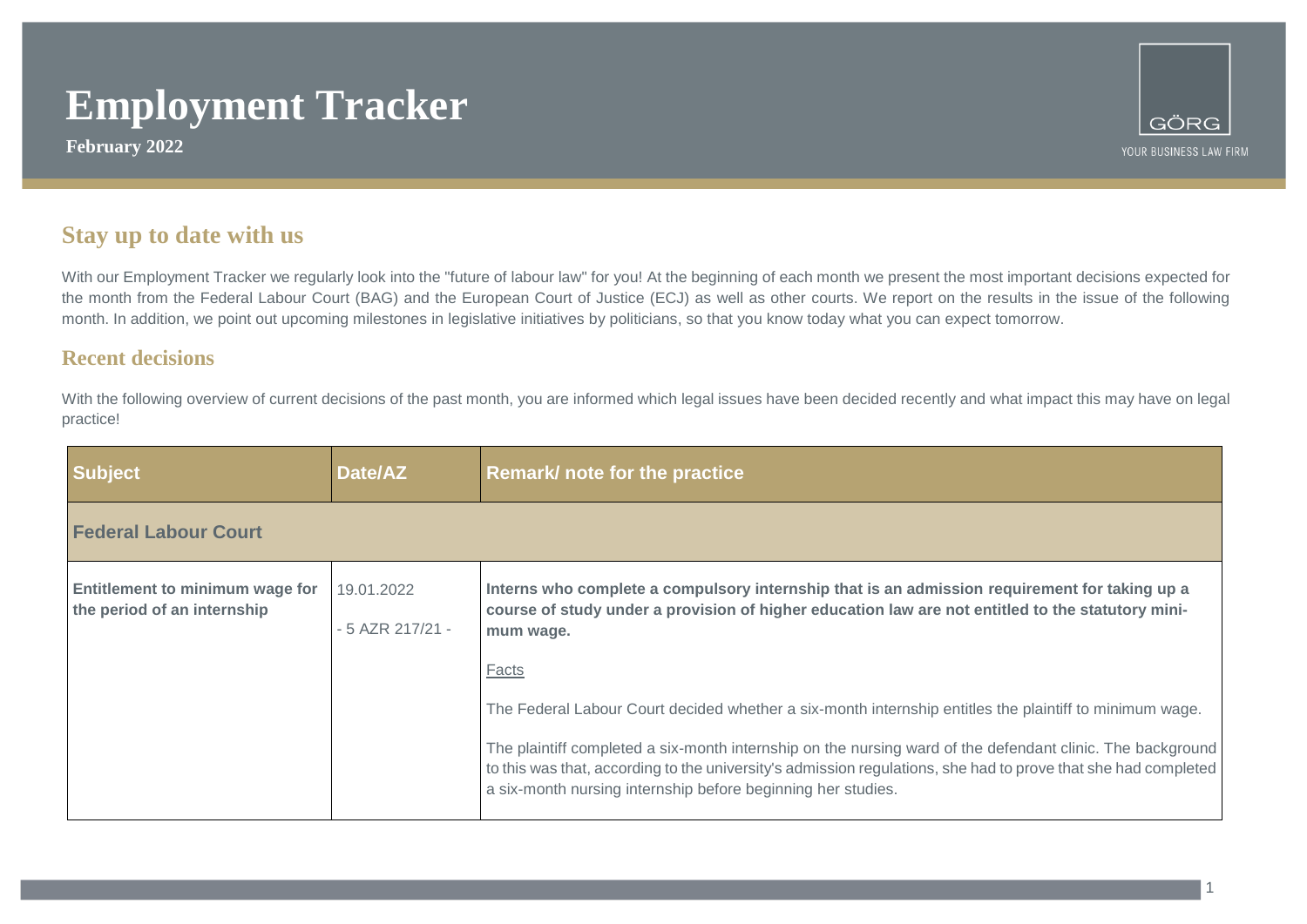**February 2022**



### **Stay up to date with us**

With our Employment Tracker we regularly look into the "future of labour law" for you! At the beginning of each month we present the most important decisions expected for the month from the Federal Labour Court (BAG) and the European Court of Justice (ECJ) as well as other courts. We report on the results in the issue of the following month. In addition, we point out upcoming milestones in legislative initiatives by politicians, so that you know today what you can expect tomorrow.

### **Recent decisions**

With the following overview of current decisions of the past month, you are informed which legal issues have been decided recently and what impact this may have on legal practice!

| <b>Subject</b>                                                 | Date/AZ                           | Remark/ note for the practice                                                                                                                                                                                                                                                                |
|----------------------------------------------------------------|-----------------------------------|----------------------------------------------------------------------------------------------------------------------------------------------------------------------------------------------------------------------------------------------------------------------------------------------|
| <b>Federal Labour Court</b>                                    |                                   |                                                                                                                                                                                                                                                                                              |
| Entitlement to minimum wage for<br>the period of an internship | 19.01.2022<br>$-5$ AZR 217/21 $-$ | Interns who complete a compulsory internship that is an admission requirement for taking up a<br>course of study under a provision of higher education law are not entitled to the statutory mini-<br>mum wage.                                                                              |
|                                                                |                                   | Facts<br>The Federal Labour Court decided whether a six-month internship entitles the plaintiff to minimum wage.                                                                                                                                                                             |
|                                                                |                                   | The plaintiff completed a six-month internship on the nursing ward of the defendant clinic. The background<br>to this was that, according to the university's admission regulations, she had to prove that she had completed<br>a six-month nursing internship before beginning her studies. |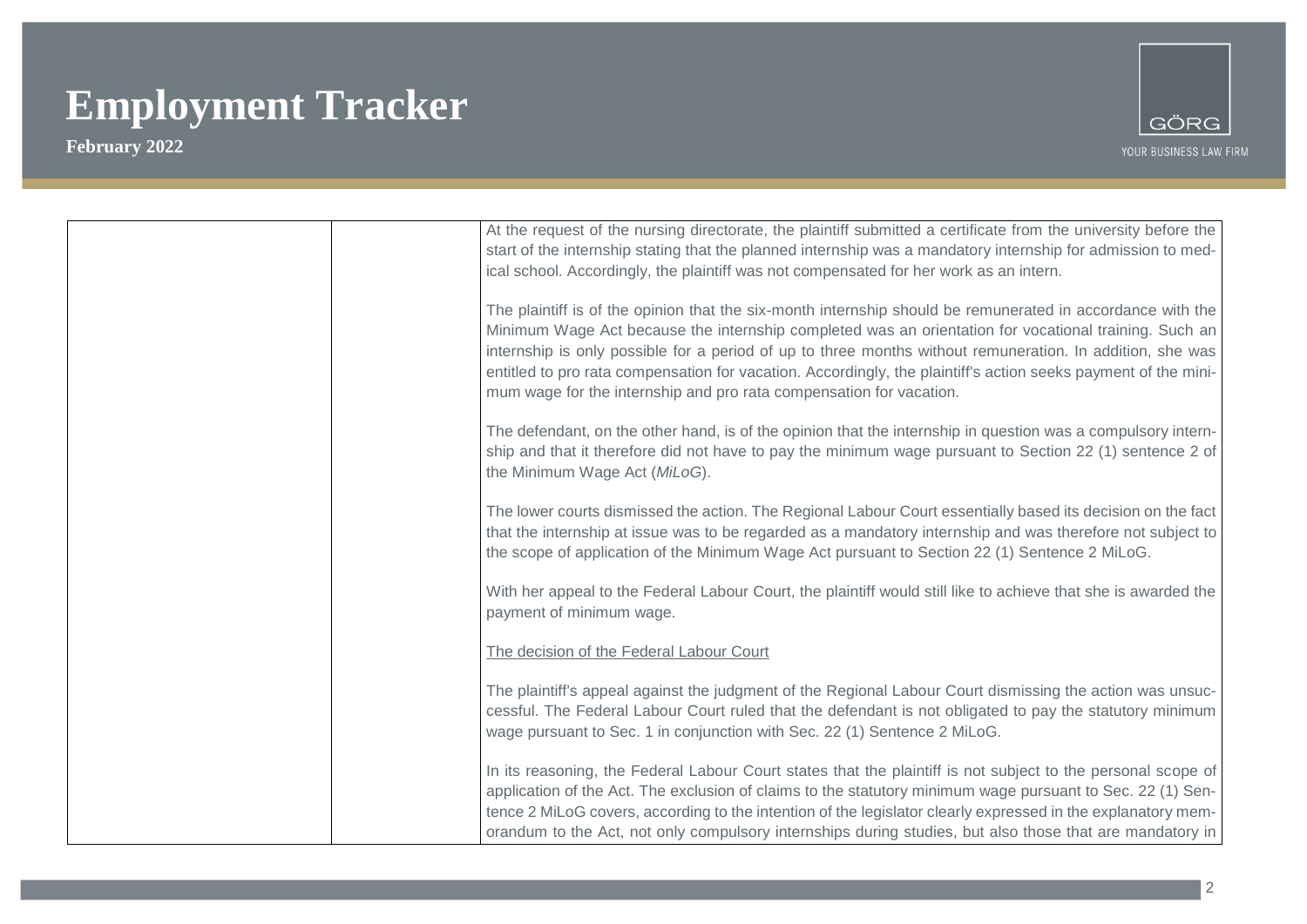

| At the request of the nursing directorate, the plaintiff submitted a certificate from the university before the<br>start of the internship stating that the planned internship was a mandatory internship for admission to med- |
|---------------------------------------------------------------------------------------------------------------------------------------------------------------------------------------------------------------------------------|
| ical school. Accordingly, the plaintiff was not compensated for her work as an intern.                                                                                                                                          |
|                                                                                                                                                                                                                                 |
| The plaintiff is of the opinion that the six-month internship should be remunerated in accordance with the                                                                                                                      |
| Minimum Wage Act because the internship completed was an orientation for vocational training. Such an                                                                                                                           |
| internship is only possible for a period of up to three months without remuneration. In addition, she was                                                                                                                       |
| entitled to pro rata compensation for vacation. Accordingly, the plaintiff's action seeks payment of the mini-                                                                                                                  |
| mum wage for the internship and pro rata compensation for vacation.                                                                                                                                                             |
|                                                                                                                                                                                                                                 |
| The defendant, on the other hand, is of the opinion that the internship in question was a compulsory intern-                                                                                                                    |
| ship and that it therefore did not have to pay the minimum wage pursuant to Section 22 (1) sentence 2 of                                                                                                                        |
| the Minimum Wage Act (MiLoG).                                                                                                                                                                                                   |
|                                                                                                                                                                                                                                 |
| The lower courts dismissed the action. The Regional Labour Court essentially based its decision on the fact<br>that the internship at issue was to be regarded as a mandatory internship and was therefore not subject to       |
| the scope of application of the Minimum Wage Act pursuant to Section 22 (1) Sentence 2 MiLoG.                                                                                                                                   |
|                                                                                                                                                                                                                                 |
| With her appeal to the Federal Labour Court, the plaintiff would still like to achieve that she is awarded the                                                                                                                  |
| payment of minimum wage.                                                                                                                                                                                                        |
|                                                                                                                                                                                                                                 |
| The decision of the Federal Labour Court                                                                                                                                                                                        |
| The plaintiff's appeal against the judgment of the Regional Labour Court dismissing the action was unsuc-                                                                                                                       |
| cessful. The Federal Labour Court ruled that the defendant is not obligated to pay the statutory minimum                                                                                                                        |
| wage pursuant to Sec. 1 in conjunction with Sec. 22 (1) Sentence 2 MiLoG.                                                                                                                                                       |
|                                                                                                                                                                                                                                 |
| In its reasoning, the Federal Labour Court states that the plaintiff is not subject to the personal scope of                                                                                                                    |
| application of the Act. The exclusion of claims to the statutory minimum wage pursuant to Sec. 22 (1) Sen-                                                                                                                      |
| tence 2 MiLoG covers, according to the intention of the legislator clearly expressed in the explanatory mem-                                                                                                                    |
| orandum to the Act, not only compulsory internships during studies, but also those that are mandatory in                                                                                                                        |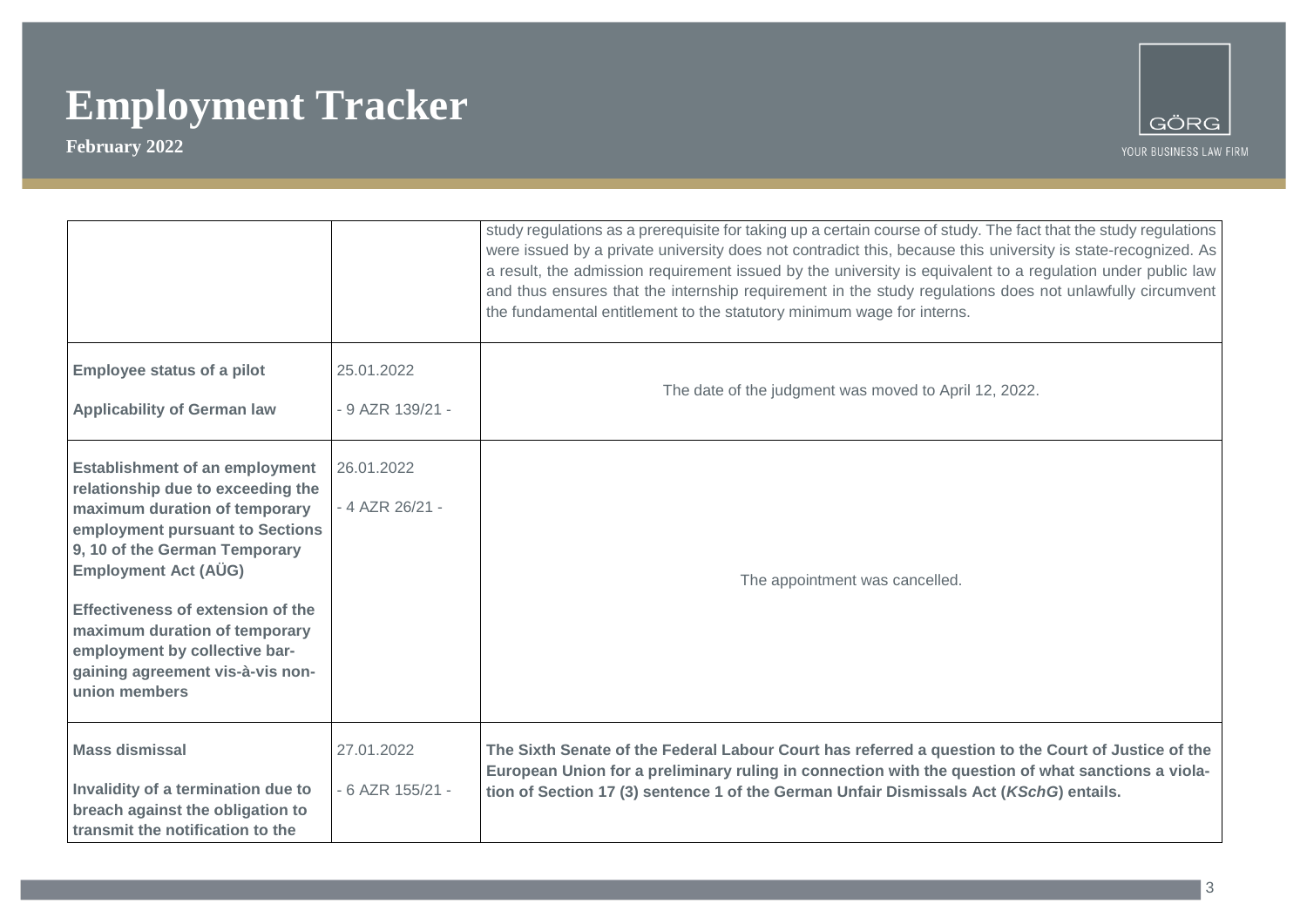

|                                                                                                                                                                                                                                                                                                                                                                            |                                | study regulations as a prerequisite for taking up a certain course of study. The fact that the study regulations<br>were issued by a private university does not contradict this, because this university is state-recognized. As<br>a result, the admission requirement issued by the university is equivalent to a regulation under public law<br>and thus ensures that the internship requirement in the study regulations does not unlawfully circumvent<br>the fundamental entitlement to the statutory minimum wage for interns. |
|----------------------------------------------------------------------------------------------------------------------------------------------------------------------------------------------------------------------------------------------------------------------------------------------------------------------------------------------------------------------------|--------------------------------|----------------------------------------------------------------------------------------------------------------------------------------------------------------------------------------------------------------------------------------------------------------------------------------------------------------------------------------------------------------------------------------------------------------------------------------------------------------------------------------------------------------------------------------|
| <b>Employee status of a pilot</b><br><b>Applicability of German law</b>                                                                                                                                                                                                                                                                                                    | 25.01.2022<br>- 9 AZR 139/21 - | The date of the judgment was moved to April 12, 2022.                                                                                                                                                                                                                                                                                                                                                                                                                                                                                  |
| <b>Establishment of an employment</b><br>relationship due to exceeding the<br>maximum duration of temporary<br>employment pursuant to Sections<br>9, 10 of the German Temporary<br><b>Employment Act (AÜG)</b><br>Effectiveness of extension of the<br>maximum duration of temporary<br>employment by collective bar-<br>gaining agreement vis-à-vis non-<br>union members | 26.01.2022<br>- 4 AZR 26/21 -  | The appointment was cancelled.                                                                                                                                                                                                                                                                                                                                                                                                                                                                                                         |
| <b>Mass dismissal</b><br>Invalidity of a termination due to<br>breach against the obligation to<br>transmit the notification to the                                                                                                                                                                                                                                        | 27.01.2022<br>- 6 AZR 155/21 - | The Sixth Senate of the Federal Labour Court has referred a question to the Court of Justice of the<br>European Union for a preliminary ruling in connection with the question of what sanctions a viola-<br>tion of Section 17 (3) sentence 1 of the German Unfair Dismissals Act (KSchG) entails.                                                                                                                                                                                                                                    |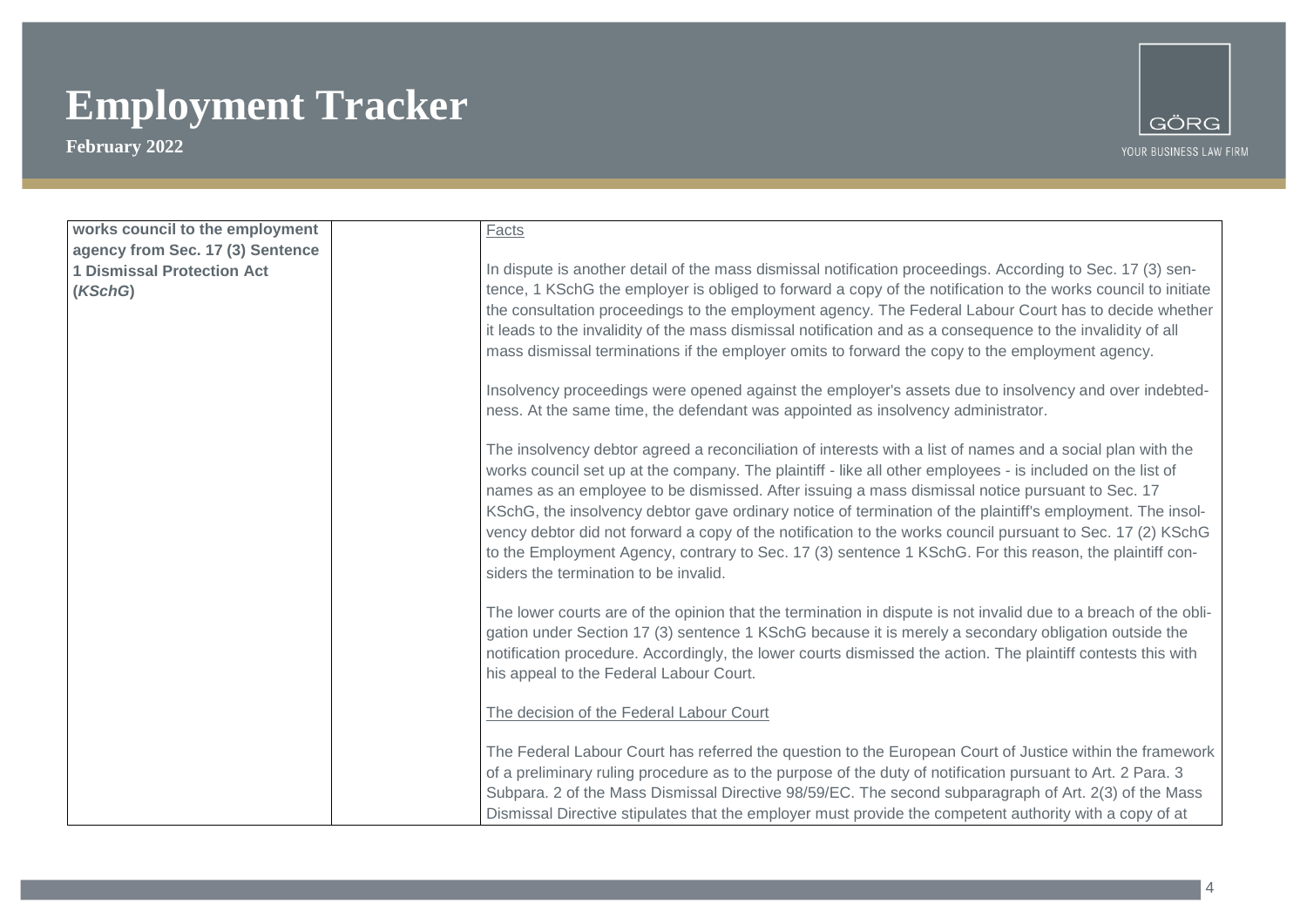

| works council to the employment   | Facts                                                                                                                                                                                     |
|-----------------------------------|-------------------------------------------------------------------------------------------------------------------------------------------------------------------------------------------|
| agency from Sec. 17 (3) Sentence  |                                                                                                                                                                                           |
| <b>1 Dismissal Protection Act</b> | In dispute is another detail of the mass dismissal notification proceedings. According to Sec. 17 (3) sen-                                                                                |
| (KSchG)                           | tence, 1 KSchG the employer is obliged to forward a copy of the notification to the works council to initiate                                                                             |
|                                   | the consultation proceedings to the employment agency. The Federal Labour Court has to decide whether                                                                                     |
|                                   | it leads to the invalidity of the mass dismissal notification and as a consequence to the invalidity of all                                                                               |
|                                   | mass dismissal terminations if the employer omits to forward the copy to the employment agency.                                                                                           |
|                                   | Insolvency proceedings were opened against the employer's assets due to insolvency and over indebted-<br>ness. At the same time, the defendant was appointed as insolvency administrator. |
|                                   |                                                                                                                                                                                           |
|                                   | The insolvency debtor agreed a reconciliation of interests with a list of names and a social plan with the                                                                                |
|                                   | works council set up at the company. The plaintiff - like all other employees - is included on the list of                                                                                |
|                                   | names as an employee to be dismissed. After issuing a mass dismissal notice pursuant to Sec. 17                                                                                           |
|                                   | KSchG, the insolvency debtor gave ordinary notice of termination of the plaintiff's employment. The insol-                                                                                |
|                                   | vency debtor did not forward a copy of the notification to the works council pursuant to Sec. 17 (2) KSchG                                                                                |
|                                   | to the Employment Agency, contrary to Sec. 17 (3) sentence 1 KSchG. For this reason, the plaintiff con-                                                                                   |
|                                   | siders the termination to be invalid.                                                                                                                                                     |
|                                   | The lower courts are of the opinion that the termination in dispute is not invalid due to a breach of the obli-                                                                           |
|                                   | gation under Section 17 (3) sentence 1 KSchG because it is merely a secondary obligation outside the                                                                                      |
|                                   | notification procedure. Accordingly, the lower courts dismissed the action. The plaintiff contests this with                                                                              |
|                                   | his appeal to the Federal Labour Court.                                                                                                                                                   |
|                                   |                                                                                                                                                                                           |
|                                   | The decision of the Federal Labour Court                                                                                                                                                  |
|                                   |                                                                                                                                                                                           |
|                                   | The Federal Labour Court has referred the question to the European Court of Justice within the framework                                                                                  |
|                                   | of a preliminary ruling procedure as to the purpose of the duty of notification pursuant to Art. 2 Para. 3                                                                                |
|                                   | Subpara. 2 of the Mass Dismissal Directive 98/59/EC. The second subparagraph of Art. 2(3) of the Mass                                                                                     |
|                                   | Dismissal Directive stipulates that the employer must provide the competent authority with a copy of at                                                                                   |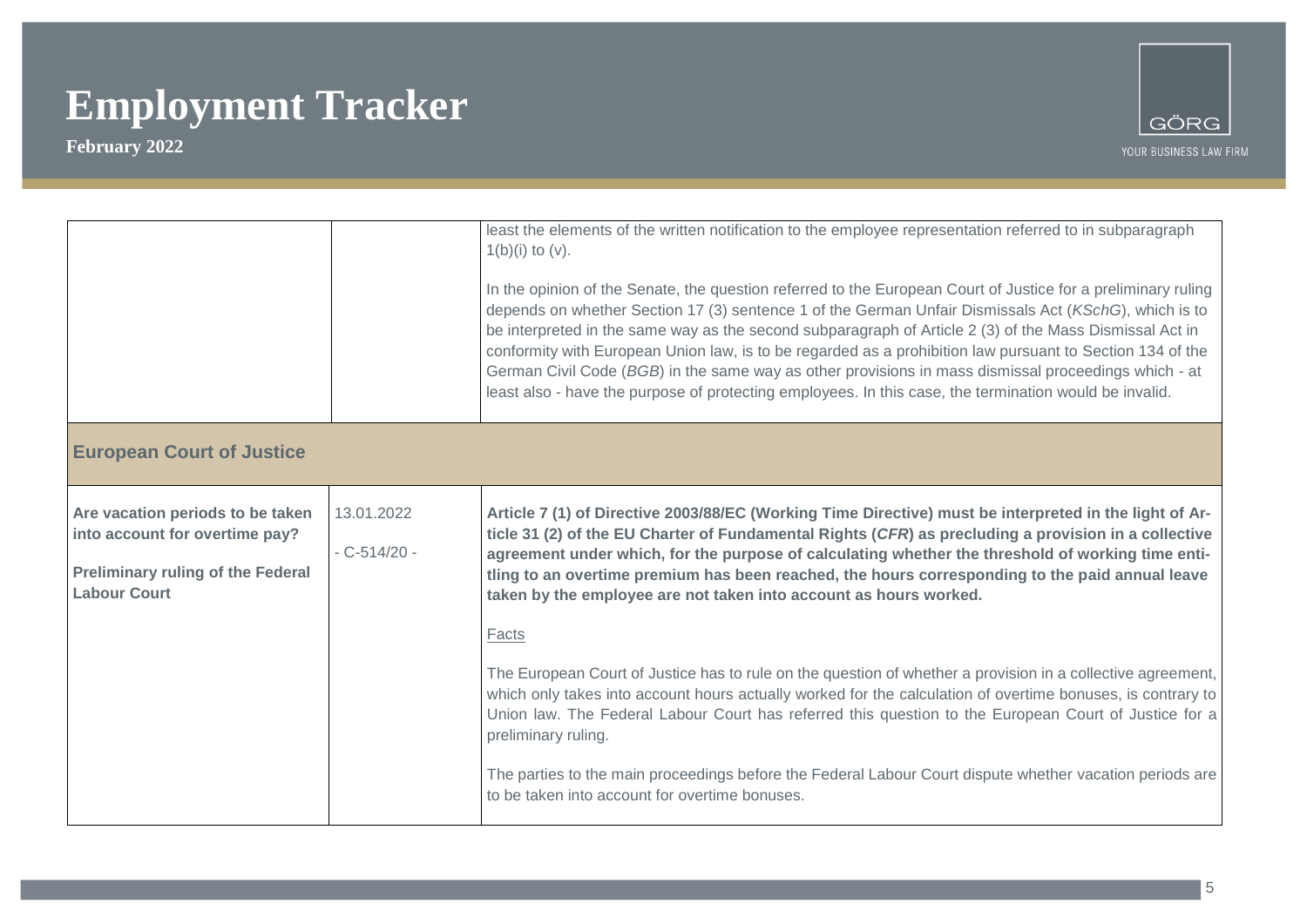

|                                                                                                                                       |                               | least the elements of the written notification to the employee representation referred to in subparagraph<br>$1(b)(i)$ to $(v)$ .<br>In the opinion of the Senate, the question referred to the European Court of Justice for a preliminary ruling<br>depends on whether Section 17 (3) sentence 1 of the German Unfair Dismissals Act (KSchG), which is to<br>be interpreted in the same way as the second subparagraph of Article 2 (3) of the Mass Dismissal Act in<br>conformity with European Union law, is to be regarded as a prohibition law pursuant to Section 134 of the<br>German Civil Code (BGB) in the same way as other provisions in mass dismissal proceedings which - at<br>least also - have the purpose of protecting employees. In this case, the termination would be invalid.                                                                                                                                                                                                                            |
|---------------------------------------------------------------------------------------------------------------------------------------|-------------------------------|----------------------------------------------------------------------------------------------------------------------------------------------------------------------------------------------------------------------------------------------------------------------------------------------------------------------------------------------------------------------------------------------------------------------------------------------------------------------------------------------------------------------------------------------------------------------------------------------------------------------------------------------------------------------------------------------------------------------------------------------------------------------------------------------------------------------------------------------------------------------------------------------------------------------------------------------------------------------------------------------------------------------------------|
| <b>European Court of Justice</b>                                                                                                      |                               |                                                                                                                                                                                                                                                                                                                                                                                                                                                                                                                                                                                                                                                                                                                                                                                                                                                                                                                                                                                                                                  |
| Are vacation periods to be taken<br>into account for overtime pay?<br><b>Preliminary ruling of the Federal</b><br><b>Labour Court</b> | 13.01.2022<br>$-C - 514/20 -$ | Article 7 (1) of Directive 2003/88/EC (Working Time Directive) must be interpreted in the light of Ar-<br>ticle 31 (2) of the EU Charter of Fundamental Rights (CFR) as precluding a provision in a collective<br>agreement under which, for the purpose of calculating whether the threshold of working time enti-<br>tling to an overtime premium has been reached, the hours corresponding to the paid annual leave<br>taken by the employee are not taken into account as hours worked.<br>Facts<br>The European Court of Justice has to rule on the question of whether a provision in a collective agreement,<br>which only takes into account hours actually worked for the calculation of overtime bonuses, is contrary to<br>Union law. The Federal Labour Court has referred this question to the European Court of Justice for a<br>preliminary ruling.<br>The parties to the main proceedings before the Federal Labour Court dispute whether vacation periods are<br>to be taken into account for overtime bonuses. |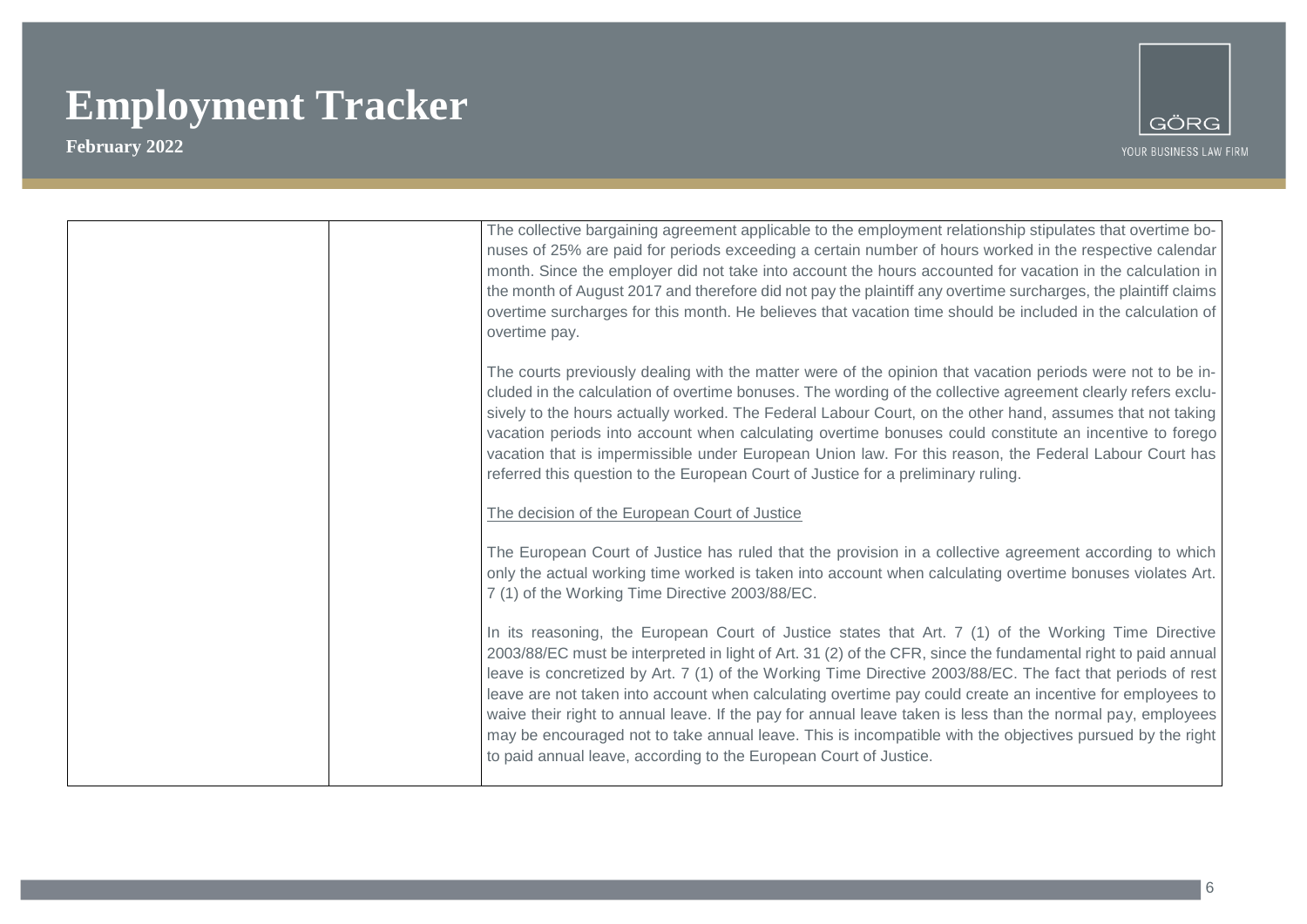

| The collective bargaining agreement applicable to the employment relationship stipulates that overtime bo-<br>nuses of 25% are paid for periods exceeding a certain number of hours worked in the respective calendar<br>month. Since the employer did not take into account the hours accounted for vacation in the calculation in<br>the month of August 2017 and therefore did not pay the plaintiff any overtime surcharges, the plaintiff claims<br>overtime surcharges for this month. He believes that vacation time should be included in the calculation of<br>overtime pay.                                                                                                                                                             |
|---------------------------------------------------------------------------------------------------------------------------------------------------------------------------------------------------------------------------------------------------------------------------------------------------------------------------------------------------------------------------------------------------------------------------------------------------------------------------------------------------------------------------------------------------------------------------------------------------------------------------------------------------------------------------------------------------------------------------------------------------|
| The courts previously dealing with the matter were of the opinion that vacation periods were not to be in-<br>cluded in the calculation of overtime bonuses. The wording of the collective agreement clearly refers exclu-<br>sively to the hours actually worked. The Federal Labour Court, on the other hand, assumes that not taking<br>vacation periods into account when calculating overtime bonuses could constitute an incentive to forego<br>vacation that is impermissible under European Union law. For this reason, the Federal Labour Court has<br>referred this question to the European Court of Justice for a preliminary ruling.                                                                                                 |
| The decision of the European Court of Justice                                                                                                                                                                                                                                                                                                                                                                                                                                                                                                                                                                                                                                                                                                     |
| The European Court of Justice has ruled that the provision in a collective agreement according to which<br>only the actual working time worked is taken into account when calculating overtime bonuses violates Art.<br>7 (1) of the Working Time Directive 2003/88/EC.                                                                                                                                                                                                                                                                                                                                                                                                                                                                           |
| In its reasoning, the European Court of Justice states that Art. 7 (1) of the Working Time Directive<br>2003/88/EC must be interpreted in light of Art. 31 (2) of the CFR, since the fundamental right to paid annual<br>leave is concretized by Art. 7 (1) of the Working Time Directive 2003/88/EC. The fact that periods of rest<br>leave are not taken into account when calculating overtime pay could create an incentive for employees to<br>waive their right to annual leave. If the pay for annual leave taken is less than the normal pay, employees<br>may be encouraged not to take annual leave. This is incompatible with the objectives pursued by the right<br>to paid annual leave, according to the European Court of Justice. |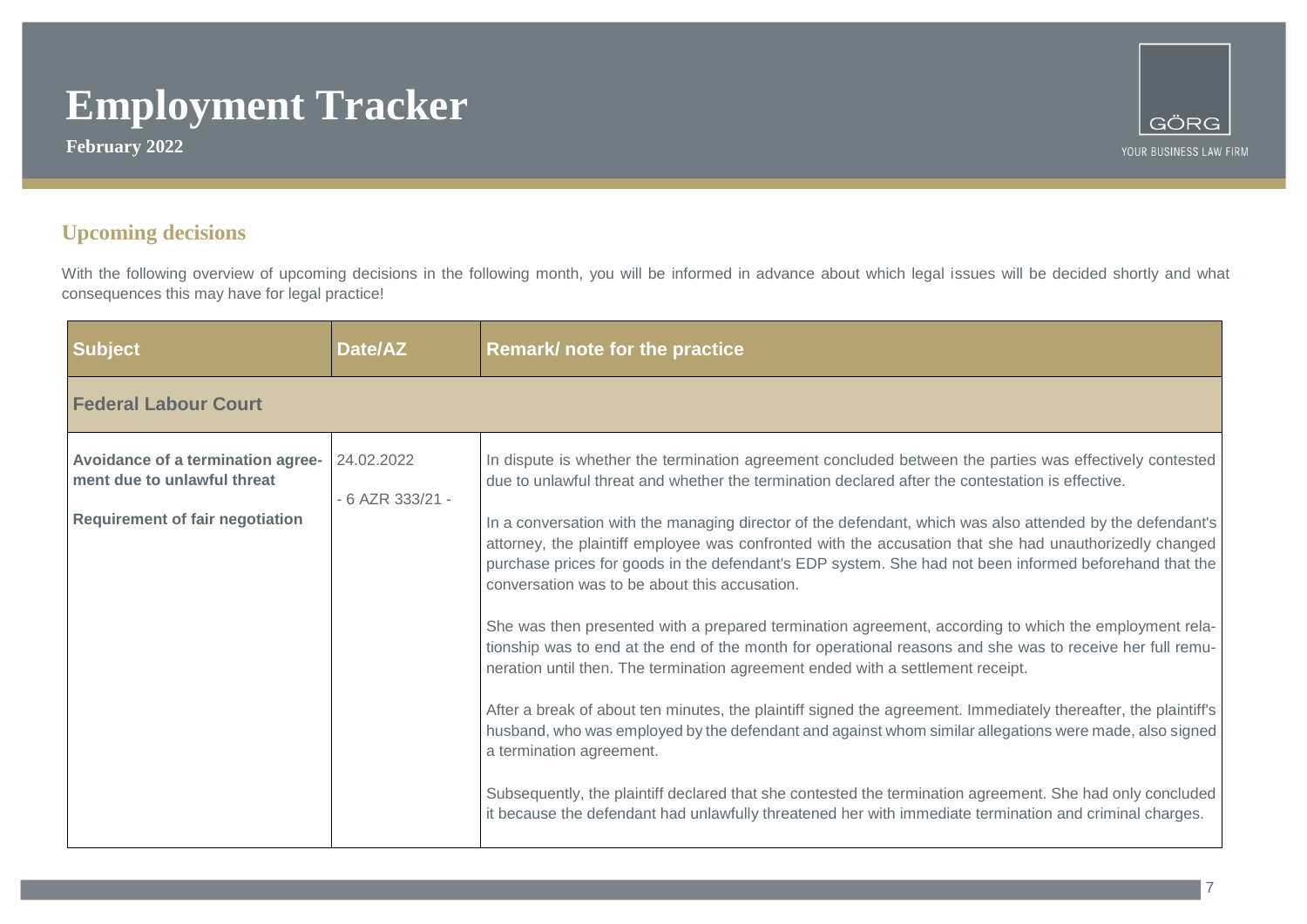**February 2022**



### **Upcoming decisions**

With the following overview of upcoming decisions in the following month, you will be informed in advance about which legal issues will be decided shortly and what consequences this may have for legal practice!

| <b>Subject</b>                                                                                             | Date/AZ                        | Remark/ note for the practice                                                                                                                                                                                                                                                                                                                                                                                                                                                                                                                                                                                                                                                                                                                                                                                                                                                                                                                                                                                                                                                                                                                                                                                                                                                                                                                                                            |
|------------------------------------------------------------------------------------------------------------|--------------------------------|------------------------------------------------------------------------------------------------------------------------------------------------------------------------------------------------------------------------------------------------------------------------------------------------------------------------------------------------------------------------------------------------------------------------------------------------------------------------------------------------------------------------------------------------------------------------------------------------------------------------------------------------------------------------------------------------------------------------------------------------------------------------------------------------------------------------------------------------------------------------------------------------------------------------------------------------------------------------------------------------------------------------------------------------------------------------------------------------------------------------------------------------------------------------------------------------------------------------------------------------------------------------------------------------------------------------------------------------------------------------------------------|
| <b>Federal Labour Court</b>                                                                                |                                |                                                                                                                                                                                                                                                                                                                                                                                                                                                                                                                                                                                                                                                                                                                                                                                                                                                                                                                                                                                                                                                                                                                                                                                                                                                                                                                                                                                          |
| Avoidance of a termination agree-<br>ment due to unlawful threat<br><b>Requirement of fair negotiation</b> | 24.02.2022<br>- 6 AZR 333/21 - | In dispute is whether the termination agreement concluded between the parties was effectively contested<br>due to unlawful threat and whether the termination declared after the contestation is effective.<br>In a conversation with the managing director of the defendant, which was also attended by the defendant's<br>attorney, the plaintiff employee was confronted with the accusation that she had unauthorizedly changed<br>purchase prices for goods in the defendant's EDP system. She had not been informed beforehand that the<br>conversation was to be about this accusation.<br>She was then presented with a prepared termination agreement, according to which the employment rela-<br>tionship was to end at the end of the month for operational reasons and she was to receive her full remu-<br>neration until then. The termination agreement ended with a settlement receipt.<br>After a break of about ten minutes, the plaintiff signed the agreement. Immediately thereafter, the plaintiff's<br>husband, who was employed by the defendant and against whom similar allegations were made, also signed<br>a termination agreement.<br>Subsequently, the plaintiff declared that she contested the termination agreement. She had only concluded<br>it because the defendant had unlawfully threatened her with immediate termination and criminal charges. |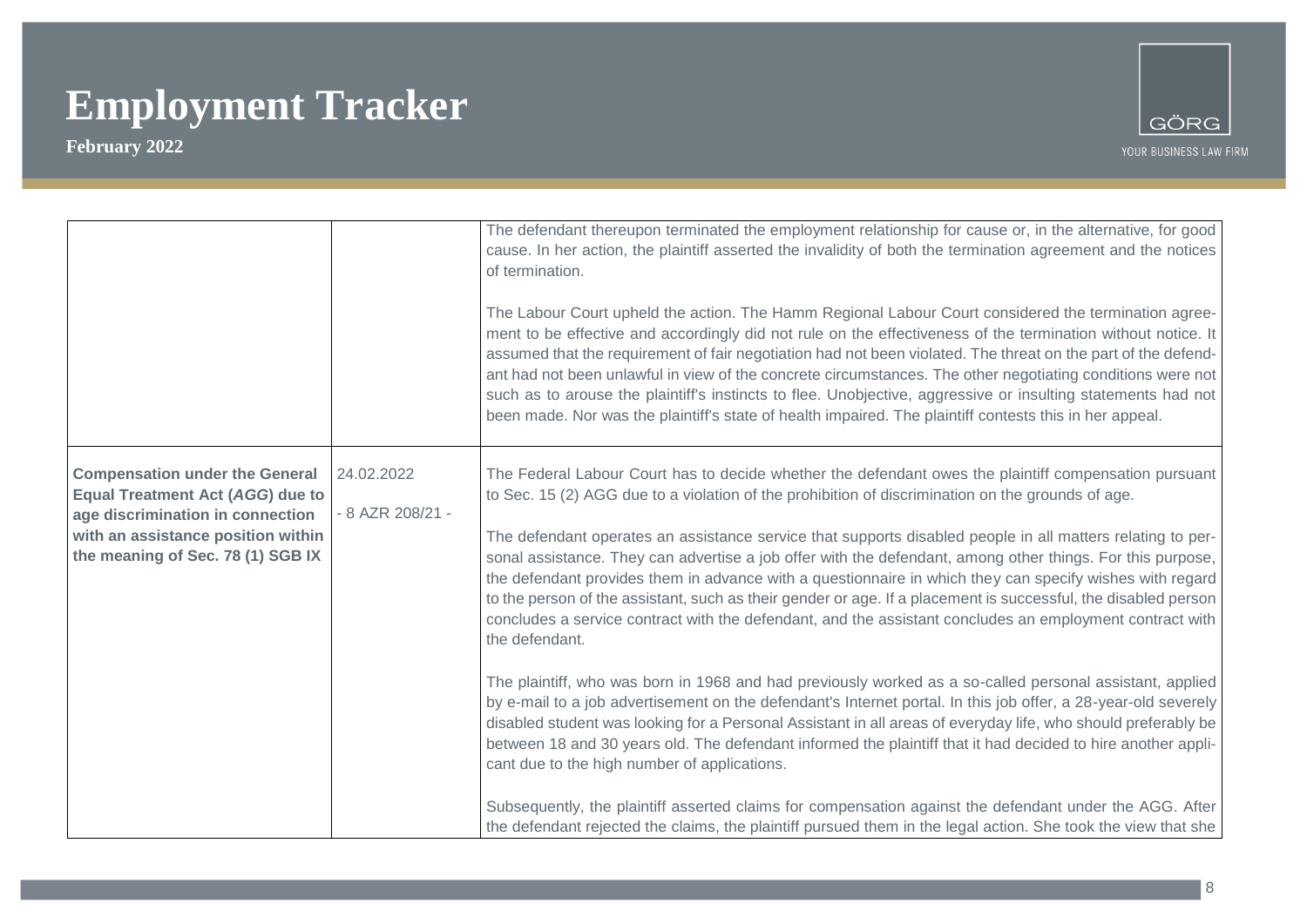

|                                                                                                                                                                                                 |                                | The defendant thereupon terminated the employment relationship for cause or, in the alternative, for good<br>cause. In her action, the plaintiff asserted the invalidity of both the termination agreement and the notices<br>of termination.<br>The Labour Court upheld the action. The Hamm Regional Labour Court considered the termination agree-<br>ment to be effective and accordingly did not rule on the effectiveness of the termination without notice. It<br>assumed that the requirement of fair negotiation had not been violated. The threat on the part of the defend-<br>ant had not been unlawful in view of the concrete circumstances. The other negotiating conditions were not<br>such as to arouse the plaintiff's instincts to flee. Unobjective, aggressive or insulting statements had not<br>been made. Nor was the plaintiff's state of health impaired. The plaintiff contests this in her appeal. |
|-------------------------------------------------------------------------------------------------------------------------------------------------------------------------------------------------|--------------------------------|---------------------------------------------------------------------------------------------------------------------------------------------------------------------------------------------------------------------------------------------------------------------------------------------------------------------------------------------------------------------------------------------------------------------------------------------------------------------------------------------------------------------------------------------------------------------------------------------------------------------------------------------------------------------------------------------------------------------------------------------------------------------------------------------------------------------------------------------------------------------------------------------------------------------------------|
| <b>Compensation under the General</b><br><b>Equal Treatment Act (AGG) due to</b><br>age discrimination in connection<br>with an assistance position within<br>the meaning of Sec. 78 (1) SGB IX | 24.02.2022<br>- 8 AZR 208/21 - | The Federal Labour Court has to decide whether the defendant owes the plaintiff compensation pursuant<br>to Sec. 15 (2) AGG due to a violation of the prohibition of discrimination on the grounds of age.<br>The defendant operates an assistance service that supports disabled people in all matters relating to per-<br>sonal assistance. They can advertise a job offer with the defendant, among other things. For this purpose,<br>the defendant provides them in advance with a questionnaire in which they can specify wishes with regard<br>to the person of the assistant, such as their gender or age. If a placement is successful, the disabled person<br>concludes a service contract with the defendant, and the assistant concludes an employment contract with<br>the defendant.<br>The plaintiff, who was born in 1968 and had previously worked as a so-called personal assistant, applied                  |
|                                                                                                                                                                                                 |                                | by e-mail to a job advertisement on the defendant's Internet portal. In this job offer, a 28-year-old severely<br>disabled student was looking for a Personal Assistant in all areas of everyday life, who should preferably be<br>between 18 and 30 years old. The defendant informed the plaintiff that it had decided to hire another appli-<br>cant due to the high number of applications.<br>Subsequently, the plaintiff asserted claims for compensation against the defendant under the AGG. After<br>the defendant rejected the claims, the plaintiff pursued them in the legal action. She took the view that she                                                                                                                                                                                                                                                                                                     |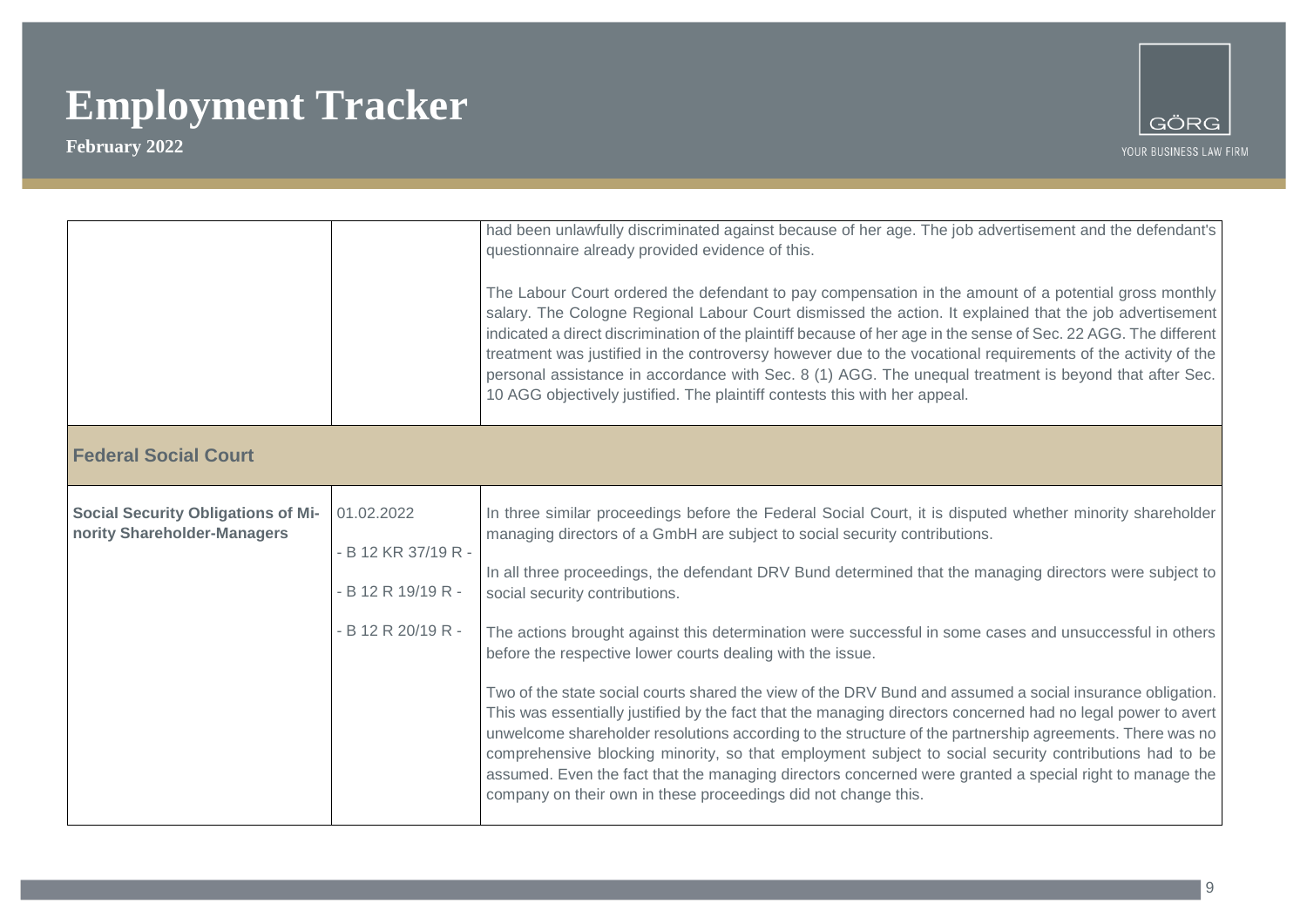

|                                                                          |                                                                               | had been unlawfully discriminated against because of her age. The job advertisement and the defendant's<br>questionnaire already provided evidence of this.<br>The Labour Court ordered the defendant to pay compensation in the amount of a potential gross monthly<br>salary. The Cologne Regional Labour Court dismissed the action. It explained that the job advertisement<br>indicated a direct discrimination of the plaintiff because of her age in the sense of Sec. 22 AGG. The different<br>treatment was justified in the controversy however due to the vocational requirements of the activity of the<br>personal assistance in accordance with Sec. 8 (1) AGG. The unequal treatment is beyond that after Sec.<br>10 AGG objectively justified. The plaintiff contests this with her appeal.                                                                                                                                                                                                                                                                                                                                   |
|--------------------------------------------------------------------------|-------------------------------------------------------------------------------|-----------------------------------------------------------------------------------------------------------------------------------------------------------------------------------------------------------------------------------------------------------------------------------------------------------------------------------------------------------------------------------------------------------------------------------------------------------------------------------------------------------------------------------------------------------------------------------------------------------------------------------------------------------------------------------------------------------------------------------------------------------------------------------------------------------------------------------------------------------------------------------------------------------------------------------------------------------------------------------------------------------------------------------------------------------------------------------------------------------------------------------------------|
| <b>Federal Social Court</b>                                              |                                                                               |                                                                                                                                                                                                                                                                                                                                                                                                                                                                                                                                                                                                                                                                                                                                                                                                                                                                                                                                                                                                                                                                                                                                               |
| <b>Social Security Obligations of Mi-</b><br>nority Shareholder-Managers | 01.02.2022<br>- B 12 KR 37/19 R -<br>- B 12 R 19/19 R -<br>- B 12 R 20/19 R - | In three similar proceedings before the Federal Social Court, it is disputed whether minority shareholder<br>managing directors of a GmbH are subject to social security contributions.<br>In all three proceedings, the defendant DRV Bund determined that the managing directors were subject to<br>social security contributions.<br>The actions brought against this determination were successful in some cases and unsuccessful in others<br>before the respective lower courts dealing with the issue.<br>Two of the state social courts shared the view of the DRV Bund and assumed a social insurance obligation.<br>This was essentially justified by the fact that the managing directors concerned had no legal power to avert<br>unwelcome shareholder resolutions according to the structure of the partnership agreements. There was no<br>comprehensive blocking minority, so that employment subject to social security contributions had to be<br>assumed. Even the fact that the managing directors concerned were granted a special right to manage the<br>company on their own in these proceedings did not change this. |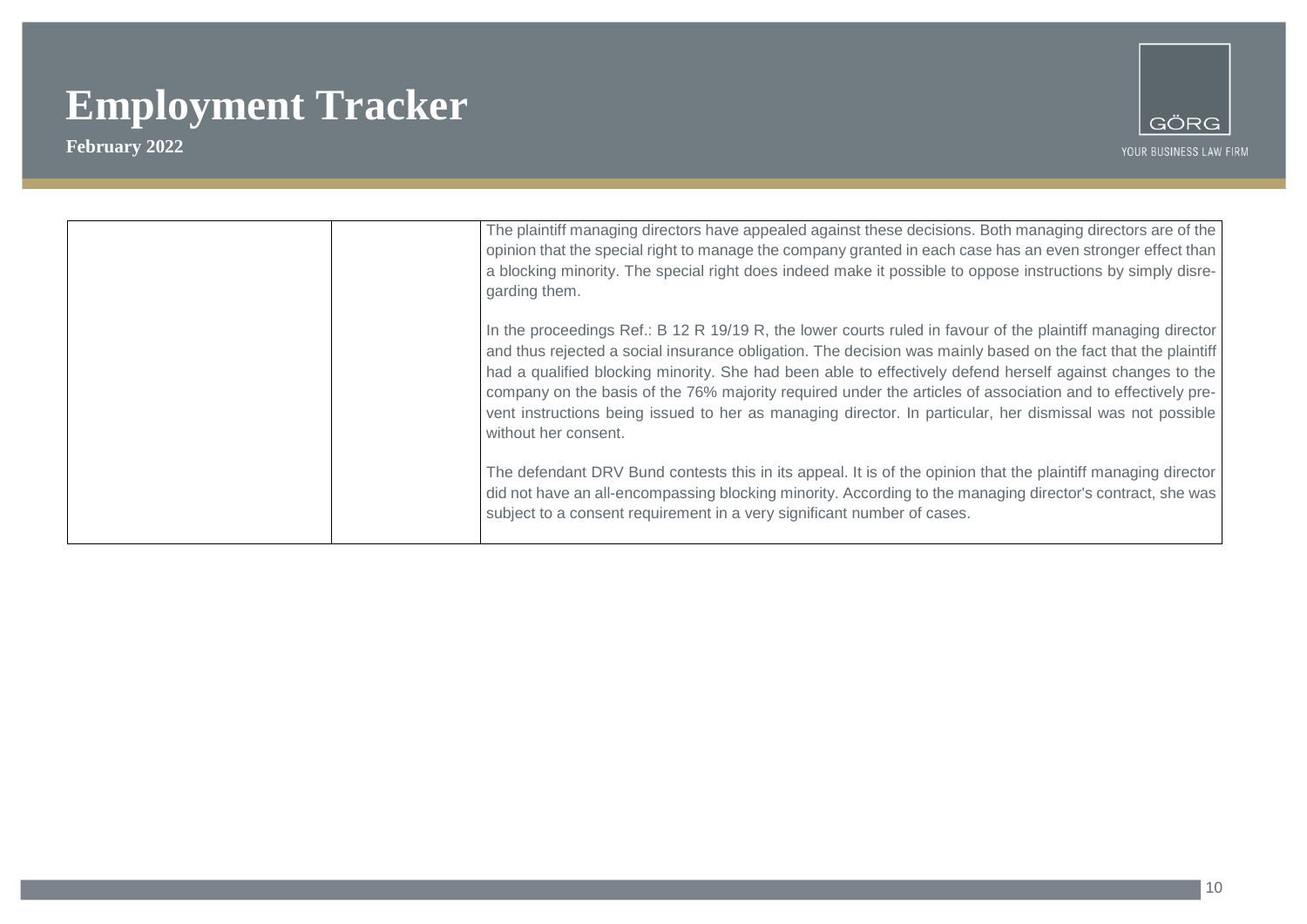

| The plaintiff managing directors have appealed against these decisions. Both managing directors are of the<br>opinion that the special right to manage the company granted in each case has an even stronger effect than<br>a blocking minority. The special right does indeed make it possible to oppose instructions by simply disre-<br>garding them.                                                                                                                                                                                                                                       |  |
|------------------------------------------------------------------------------------------------------------------------------------------------------------------------------------------------------------------------------------------------------------------------------------------------------------------------------------------------------------------------------------------------------------------------------------------------------------------------------------------------------------------------------------------------------------------------------------------------|--|
| In the proceedings Ref.: B 12 R 19/19 R, the lower courts ruled in favour of the plaintiff managing director<br>and thus rejected a social insurance obligation. The decision was mainly based on the fact that the plaintiff<br>had a qualified blocking minority. She had been able to effectively defend herself against changes to the<br>company on the basis of the 76% majority required under the articles of association and to effectively pre-<br>vent instructions being issued to her as managing director. In particular, her dismissal was not possible<br>without her consent. |  |
| The defendant DRV Bund contests this in its appeal. It is of the opinion that the plaintiff managing director<br>did not have an all-encompassing blocking minority. According to the managing director's contract, she was<br>subject to a consent requirement in a very significant number of cases.                                                                                                                                                                                                                                                                                         |  |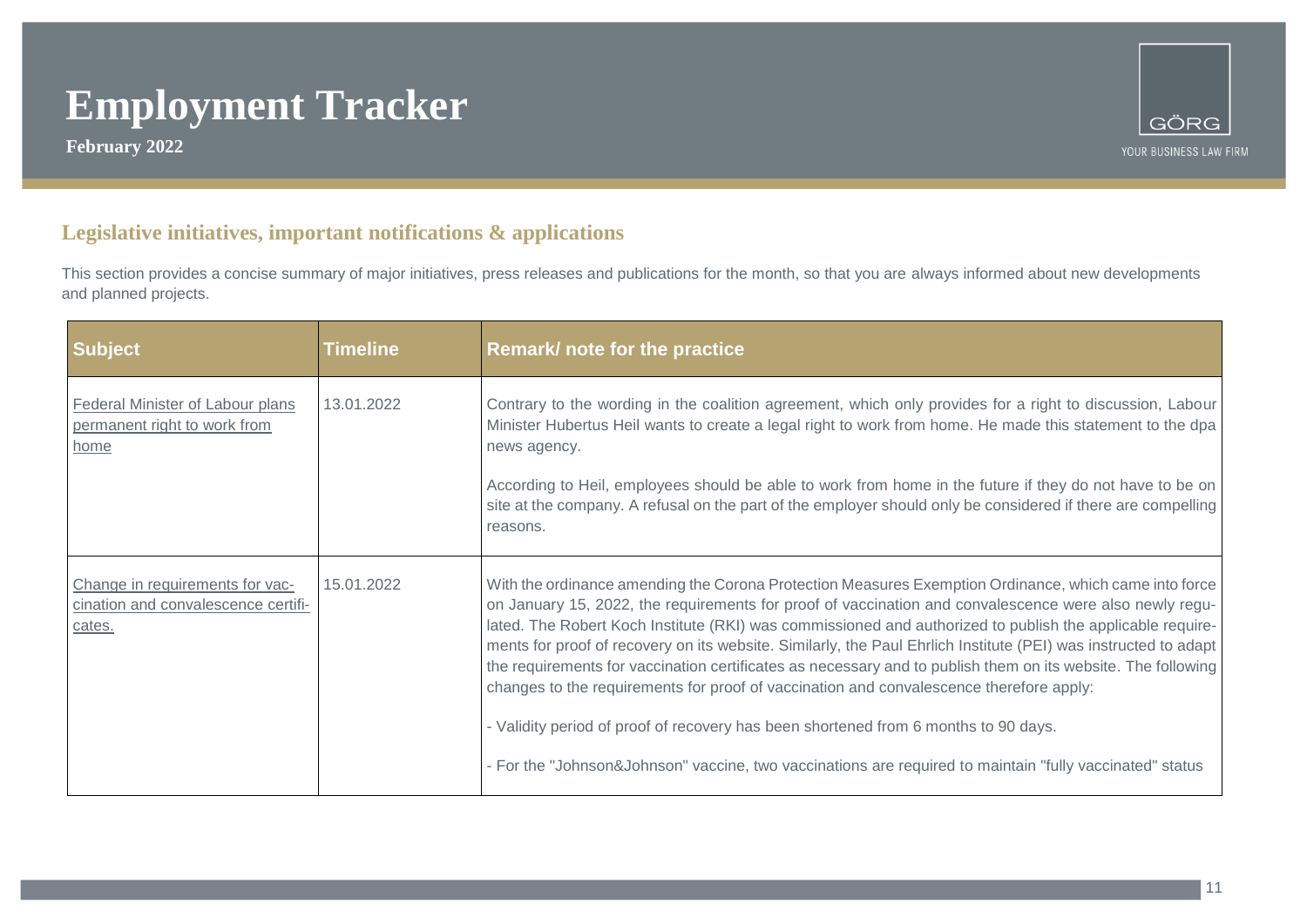**February 2022**



### **Legislative initiatives, important notifications & applications**

This section provides a concise summary of major initiatives, press releases and publications for the month, so that you are always informed about new developments and planned projects.

| <b>Subject</b>                                                                   | Timeline   | Remark/ note for the practice                                                                                                                                                                                                                                                                                                                                                                                                                                                                                                                                                                                                                                                                                                                                                                                                                                 |
|----------------------------------------------------------------------------------|------------|---------------------------------------------------------------------------------------------------------------------------------------------------------------------------------------------------------------------------------------------------------------------------------------------------------------------------------------------------------------------------------------------------------------------------------------------------------------------------------------------------------------------------------------------------------------------------------------------------------------------------------------------------------------------------------------------------------------------------------------------------------------------------------------------------------------------------------------------------------------|
| <b>Federal Minister of Labour plans</b><br>permanent right to work from<br>home  | 13.01.2022 | Contrary to the wording in the coalition agreement, which only provides for a right to discussion, Labour<br>Minister Hubertus Heil wants to create a legal right to work from home. He made this statement to the dpa<br>news agency.<br>According to Heil, employees should be able to work from home in the future if they do not have to be on                                                                                                                                                                                                                                                                                                                                                                                                                                                                                                            |
|                                                                                  |            | site at the company. A refusal on the part of the employer should only be considered if there are compelling<br>reasons.                                                                                                                                                                                                                                                                                                                                                                                                                                                                                                                                                                                                                                                                                                                                      |
| Change in requirements for vac-<br>cination and convalescence certifi-<br>cates. | 15.01.2022 | With the ordinance amending the Corona Protection Measures Exemption Ordinance, which came into force<br>on January 15, 2022, the requirements for proof of vaccination and convalescence were also newly regu-<br>lated. The Robert Koch Institute (RKI) was commissioned and authorized to publish the applicable require-<br>ments for proof of recovery on its website. Similarly, the Paul Ehrlich Institute (PEI) was instructed to adapt<br>the requirements for vaccination certificates as necessary and to publish them on its website. The following<br>changes to the requirements for proof of vaccination and convalescence therefore apply:<br>- Validity period of proof of recovery has been shortened from 6 months to 90 days.<br>- For the "Johnson&Johnson" vaccine, two vaccinations are required to maintain "fully vaccinated" status |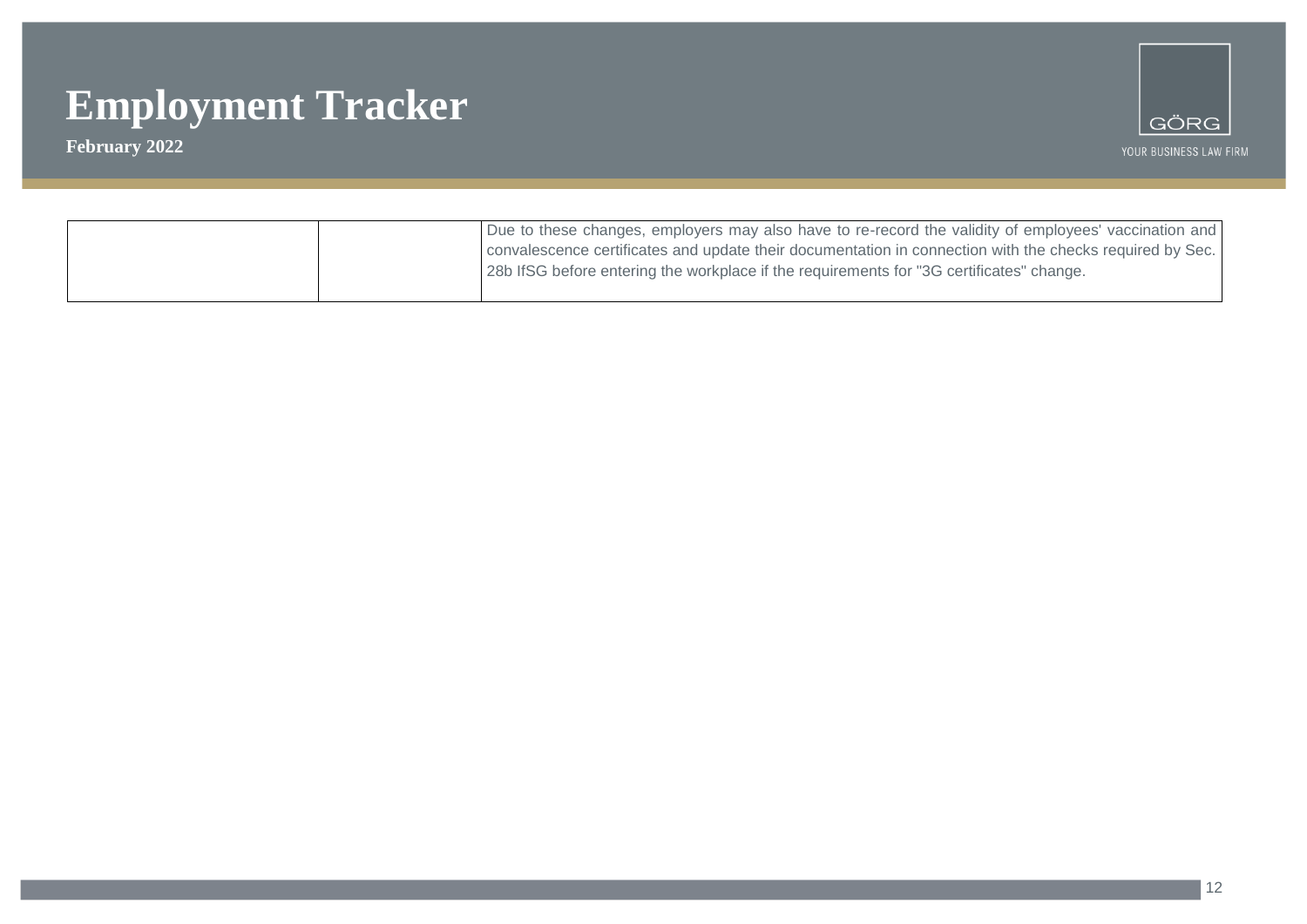

| Due to these changes, employers may also have to re-record the validity of employees' vaccination and    |
|----------------------------------------------------------------------------------------------------------|
| convalescence certificates and update their documentation in connection with the checks required by Sec. |
| 28b IfSG before entering the workplace if the requirements for "3G certificates" change.                 |
|                                                                                                          |